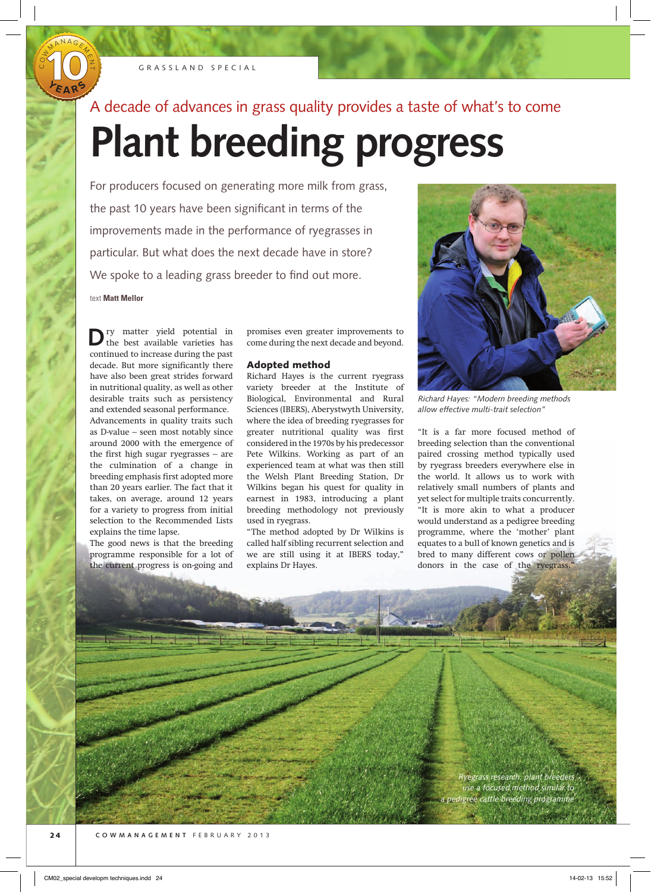

O<br>U W

MANAGE4

**Y <sup>E</sup> <sup>A</sup> <sup>R</sup> <sup>S</sup>**

 $\gamma$ N  $\overline{\phantom{0}}$ 

## A decade of advances in grass quality provides a taste of what's to come

# **Plant breeding progress**

For producers focused on generating more milk from grass, the past 10 years have been significant in terms of the improvements made in the performance of ryegrasses in particular. But what does the next decade have in store? We spoke to a leading grass breeder to find out more. text **Matt Mellor**

**D**<sup>ry</sup> matter yield potential in the best available varieties has continued to increase during the past decade. But more significantly there have also been great strides forward in nutritional quality, as well as other desirable traits such as persistency and extended seasonal performance. Advancements in quality traits such as D-value – seen most notably since around 2000 with the emergence of the first high sugar ryegrasses  $-$  are the culmination of a change in breeding emphasis first adopted more than 20 years earlier. The fact that it takes, on average, around 12 years for a variety to progress from initial selection to the Recommended Lists explains the time lapse.

The good news is that the breeding programme responsible for a lot of the current progress is on-going and

promises even greater improvements to come during the next decade and beyond.

#### Adopted method

Richard Hayes is the current ryegrass variety breeder at the Institute of Biological, Environmental and Rural Sciences (IBERS), Aberystwyth University, where the idea of breeding ryegrasses for greater nutritional quality was first considered in the 1970s by his predecessor Pete Wilkins. Working as part of an experienced team at what was then still the Welsh Plant Breeding Station, Dr Wilkins began his quest for quality in earnest in 1983, introducing a plant breeding methodology not previously used in ryegrass.

"The method adopted by Dr Wilkins is called half sibling recurrent selection and we are still using it at IBERS today," explains Dr Hayes.



*Richard Hayes: "Modern breeding methods allow effective multi-trait selection"*

"It is a far more focused method of breeding selection than the conventional paired crossing method typically used by ryegrass breeders everywhere else in the world. It allows us to work with relatively small numbers of plants and yet select for multiple traits concurrently. "It is more akin to what a producer would understand as a pedigree breeding programme, where the 'mother' plant equates to a bull of known genetics and is bred to many different cows or pollen donors in the case of the ryegrass."

> *Ryegrass research: plant breeders use a focused method similar to a pedigree cattle breeding programme*